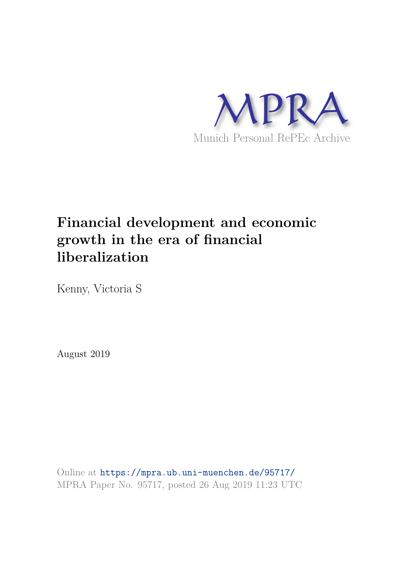

# **Financial development and economic growth in the era of financial liberalization**

Kenny, Victoria S

August 2019

Online at https://mpra.ub.uni-muenchen.de/95717/ MPRA Paper No. 95717, posted 26 Aug 2019 11:23 UTC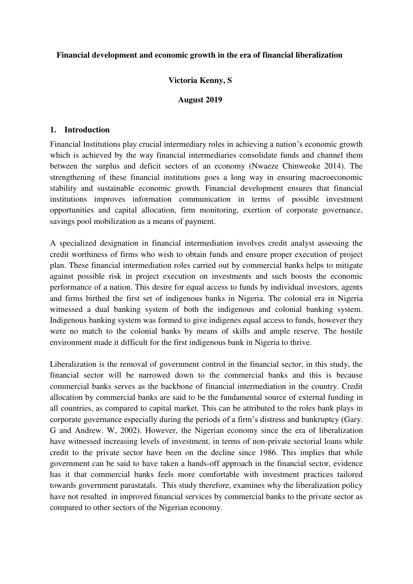## **Financial development and economic growth in the era of financial liberalization**

## **Victoria Kenny, S**

#### **August 2019**

#### **1. Introduction**

Financial Institutions play crucial intermediary roles in achieving a nation's economic growth which is achieved by the way financial intermediaries consolidate funds and channel them between the surplus and deficit sectors of an economy (Nwaeze Chinweoke 2014). The strengthening of these financial institutions goes a long way in ensuring macroeconomic stability and sustainable economic growth. Financial development ensures that financial institutions improves information communication in terms of possible investment opportunities and capital allocation, firm monitoring, exertion of corporate governance, savings pool mobilization as a means of payment.

A specialized designation in financial intermediation involves credit analyst assessing the credit worthiness of firms who wish to obtain funds and ensure proper execution of project plan. These financial intermediation roles carried out by commercial banks helps to mitigate against possible risk in project execution on investments and such boosts the economic performance of a nation. This desire for equal access to funds by individual investors, agents and firms birthed the first set of indigenous banks in Nigeria. The colonial era in Nigeria witnessed a dual banking system of both the indigenous and colonial banking system. Indigenous banking system was formed to give indigenes equal access to funds, however they were no match to the colonial banks by means of skills and ample reserve. The hostile environment made it difficult for the first indigenous bank in Nigeria to thrive.

Liberalization is the removal of government control in the financial sector, in this study, the financial sector will be narrowed down to the commercial banks and this is because commercial banks serves as the backbone of financial intermediation in the country. Credit allocation by commercial banks are said to be the fundamental source of external funding in all countries, as compared to capital market. This can be attributed to the roles bank plays in corporate governance especially during the periods of a firm's distress and bankruptcy (Gary. G and Andrew. W, 2002). However, the Nigerian economy since the era of liberalization have witnessed increasing levels of investment, in terms of non-private sectorial loans while credit to the private sector have been on the decline since 1986. This implies that while government can be said to have taken a hands-off approach in the financial sector, evidence has it that commercial banks feels more comfortable with investment practices tailored towards government parastatals. This study therefore, examines why the liberalization policy have not resulted in improved financial services by commercial banks to the private sector as compared to other sectors of the Nigerian economy.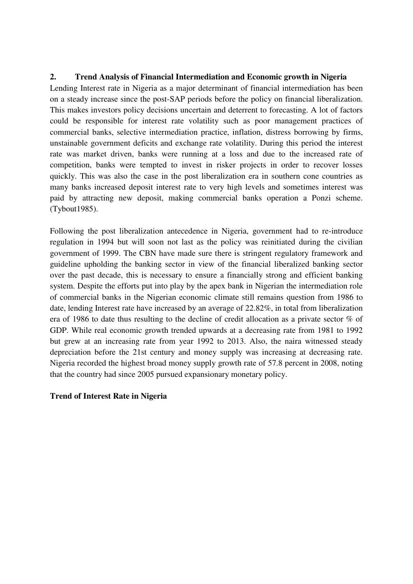# **2. Trend Analysis of Financial Intermediation and Economic growth in Nigeria**

Lending Interest rate in Nigeria as a major determinant of financial intermediation has been on a steady increase since the post-SAP periods before the policy on financial liberalization. This makes investors policy decisions uncertain and deterrent to forecasting. A lot of factors could be responsible for interest rate volatility such as poor management practices of commercial banks, selective intermediation practice, inflation, distress borrowing by firms, unstainable government deficits and exchange rate volatility. During this period the interest rate was market driven, banks were running at a loss and due to the increased rate of competition, banks were tempted to invest in risker projects in order to recover losses quickly. This was also the case in the post liberalization era in southern cone countries as many banks increased deposit interest rate to very high levels and sometimes interest was paid by attracting new deposit, making commercial banks operation a Ponzi scheme. (Tybout1985).

Following the post liberalization antecedence in Nigeria, government had to re-introduce regulation in 1994 but will soon not last as the policy was reinitiated during the civilian government of 1999. The CBN have made sure there is stringent regulatory framework and guideline upholding the banking sector in view of the financial liberalized banking sector over the past decade, this is necessary to ensure a financially strong and efficient banking system. Despite the efforts put into play by the apex bank in Nigerian the intermediation role of commercial banks in the Nigerian economic climate still remains question from 1986 to date, lending Interest rate have increased by an average of 22.82%, in total from liberalization era of 1986 to date thus resulting to the decline of credit allocation as a private sector % of GDP. While real economic growth trended upwards at a decreasing rate from 1981 to 1992 but grew at an increasing rate from year 1992 to 2013. Also, the naira witnessed steady depreciation before the 21st century and money supply was increasing at decreasing rate. Nigeria recorded the highest broad money supply growth rate of 57.8 percent in 2008, noting that the country had since 2005 pursued expansionary monetary policy.

## **Trend of Interest Rate in Nigeria**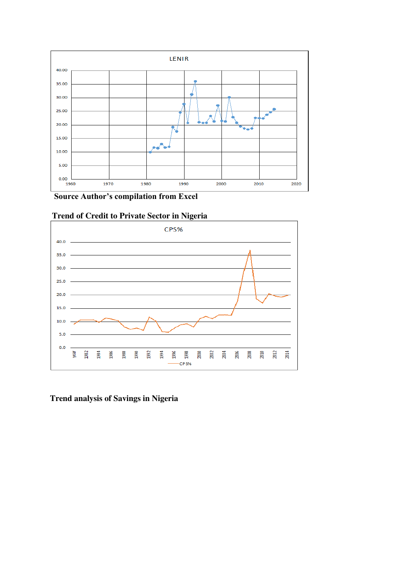

 **Source Author's compilation from Excel**



 **Trend of Credit to Private Sector in Nigeria** 

**Trend analysis of Savings in Nigeria**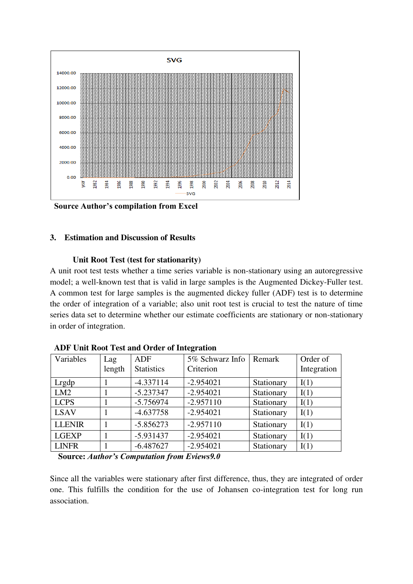

 **Source Author's compilation from Excel**

# **3. Estimation and Discussion of Results**

## **Unit Root Test (test for stationarity)**

A unit root test tests whether a time series variable is non-stationary using an autoregressive model; a well-known test that is valid in large samples is the Augmented Dickey-Fuller test. A common test for large samples is the augmented dickey fuller (ADF) test is to determine the order of integration of a variable; also unit root test is crucial to test the nature of time series data set to determine whether our estimate coefficients are stationary or non-stationary in order of integration.

| Variables     | Lag<br>length | <b>ADF</b><br><b>Statistics</b> | 5% Schwarz Info   Remark<br>Criterion |            | Order of<br>Integration |
|---------------|---------------|---------------------------------|---------------------------------------|------------|-------------------------|
| Lrgdp         |               | $-4.337114$                     | $-2.954021$                           | Stationary | I(1)                    |
| LM2           |               | $-5.237347$                     | $-2.954021$                           | Stationary | I(1)                    |
| <b>LCPS</b>   |               | $-5.756974$                     | $-2.957110$                           | Stationary | I(1)                    |
| <b>LSAV</b>   |               | $-4.637758$                     | $-2.954021$                           | Stationary | I(1)                    |
| <b>LLENIR</b> |               | $-5.856273$                     | $-2.957110$                           | Stationary | I(1)                    |
| <b>LGEXP</b>  |               | $-5.931437$                     | $-2.954021$                           | Stationary | I(1)                    |
| <b>LINFR</b>  |               | $-6.487627$                     | $-2.954021$                           | Stationary | I(1)                    |

 **ADF Unit Root Test and Order of Integration**

 **Source:** *Author's Computation from Eviews9.0*

Since all the variables were stationary after first difference, thus, they are integrated of order one. This fulfills the condition for the use of Johansen co-integration test for long run association.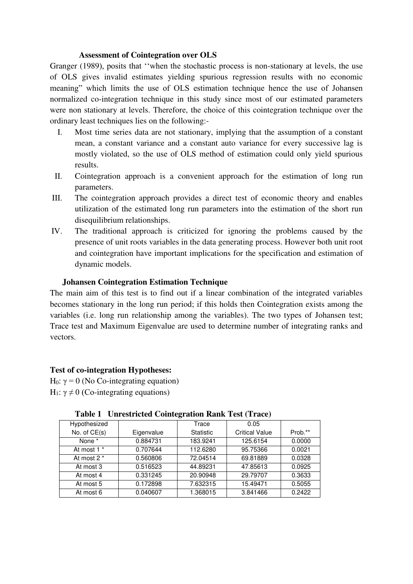#### **Assessment of Cointegration over OLS**

Granger (1989), posits that ''when the stochastic process is non-stationary at levels, the use of OLS gives invalid estimates yielding spurious regression results with no economic meaning" which limits the use of OLS estimation technique hence the use of Johansen normalized co-integration technique in this study since most of our estimated parameters were non stationary at levels. Therefore, the choice of this cointegration technique over the ordinary least techniques lies on the following:-

- I. Most time series data are not stationary, implying that the assumption of a constant mean, a constant variance and a constant auto variance for every successive lag is mostly violated, so the use of OLS method of estimation could only yield spurious results.
- II. Cointegration approach is a convenient approach for the estimation of long run parameters.
- III. The cointegration approach provides a direct test of economic theory and enables utilization of the estimated long run parameters into the estimation of the short run disequilibrium relationships.
- IV. The traditional approach is criticized for ignoring the problems caused by the presence of unit roots variables in the data generating process. However both unit root and cointegration have important implications for the specification and estimation of dynamic models.

## **Johansen Cointegration Estimation Technique**

The main aim of this test is to find out if a linear combination of the integrated variables becomes stationary in the long run period; if this holds then Cointegration exists among the variables (i.e. long run relationship among the variables). The two types of Johansen test; Trace test and Maximum Eigenvalue are used to determine number of integrating ranks and vectors.

## **Test of co-integration Hypotheses:**

H<sub>0</sub>:  $\gamma$  = 0 (No Co-integrating equation) H<sub>1</sub>:  $\gamma \neq 0$  (Co-integrating equations)

|                |            | o         |                       |         |
|----------------|------------|-----------|-----------------------|---------|
| Hypothesized   |            | Trace     | 0.05                  |         |
| No. of $CE(s)$ | Eigenvalue | Statistic | <b>Critical Value</b> | Prob.** |
| None *         | 0.884731   | 183.9241  | 125.6154              | 0.0000  |
| At most 1 *    | 0.707644   | 112.6280  | 95.75366              | 0.0021  |
| At most 2 *    | 0.560806   | 72.04514  | 69.81889              | 0.0328  |
| At most 3      | 0.516523   | 44.89231  | 47.85613              | 0.0925  |
| At most 4      | 0.331245   | 20.90948  | 29.79707              | 0.3633  |
| At most 5      | 0.172898   | 7.632315  | 15.49471              | 0.5055  |
| At most 6      | 0.040607   | 1.368015  | 3.841466              | 0.2422  |

## **Table 1 Unrestricted Cointegration Rank Test (Trace)**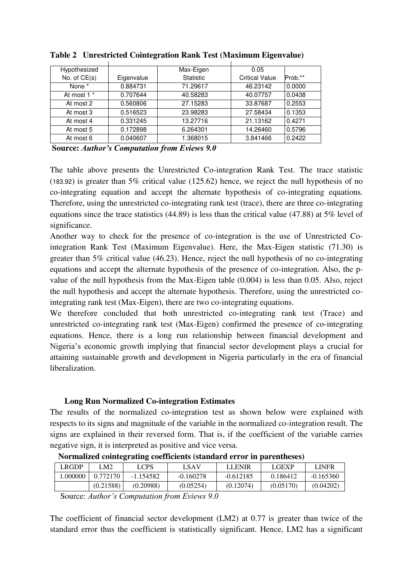| Hypothesized |            | Max-Eigen        | 0.05                  |         |
|--------------|------------|------------------|-----------------------|---------|
| No. of CE(s) | Eigenvalue | <b>Statistic</b> | <b>Critical Value</b> | Prob.** |
| None *       | 0.884731   | 71.29617         | 46.23142              | 0.0000  |
| At most 1 *  | 0.707644   | 40.58283         | 40.07757              | 0.0438  |
| At most 2    | 0.560806   | 27.15283         | 33.87687              | 0.2553  |
| At most 3    | 0.516523   | 23.98283         | 27.58434              | 0.1353  |
| At most 4    | 0.331245   | 13.27716         | 21.13162              | 0.4271  |
| At most 5    | 0.172898   | 6.264301         | 14.26460              | 0.5796  |
| At most 6    | 0.040607   | 1.368015         | 3.841466              | 0.2422  |

**Table 2 Unrestricted Cointegration Rank Test (Maximum Eigenvalue)** 

 **Source:** *Author's Computation from Eviews 9.0*

The table above presents the Unrestricted Co-integration Rank Test. The trace statistic (183.92) is greater than 5% critical value (125.62) hence, we reject the null hypothesis of no co-integrating equation and accept the alternate hypothesis of co-integrating equations. Therefore, using the unrestricted co-integrating rank test (trace), there are three co-integrating equations since the trace statistics (44.89) is less than the critical value (47.88) at 5% level of significance.

Another way to check for the presence of co-integration is the use of Unrestricted Cointegration Rank Test (Maximum Eigenvalue). Here, the Max-Eigen statistic (71.30) is greater than 5% critical value (46.23). Hence, reject the null hypothesis of no co-integrating equations and accept the alternate hypothesis of the presence of co-integration. Also, the pvalue of the null hypothesis from the Max-Eigen table (0.004) is less than 0.05. Also, reject the null hypothesis and accept the alternate hypothesis. Therefore, using the unrestricted cointegrating rank test (Max-Eigen), there are two co-integrating equations.

We therefore concluded that both unrestricted co-integrating rank test (Trace) and unrestricted co-integrating rank test (Max-Eigen) confirmed the presence of co-integrating equations. Hence, there is a long run relationship between financial development and Nigeria's economic growth implying that financial sector development plays a crucial for attaining sustainable growth and development in Nigeria particularly in the era of financial liberalization.

# **Long Run Normalized Co-integration Estimates**

The results of the normalized co-integration test as shown below were explained with respects to its signs and magnitude of the variable in the normalized co-integration result. The signs are explained in their reversed form. That is, if the coefficient of the variable carries negative sign, it is interpreted as positive and vice versa.

| RGDP.   | CM2       | LCPS      | LSAV        | <b>LENIR</b> | LGEXP     | LINFR       |
|---------|-----------|-----------|-------------|--------------|-----------|-------------|
| .000000 | 0.772170  | -1.154582 | $-0.160278$ | $-0.612185$  | 0.186412  | $-0.165360$ |
|         | (0.21588) | (0.20988) | (0.05254)   | (0.12074)    | (0.05170) | (0.04202)   |

## **Normalized cointegrating coefficients (standard error in parentheses)**

The coefficient of financial sector development (LM2) at 0.77 is greater than twice of the standard error thus the coefficient is statistically significant. Hence, LM2 has a significant

Source: *Author's Computation from Eviews 9.0*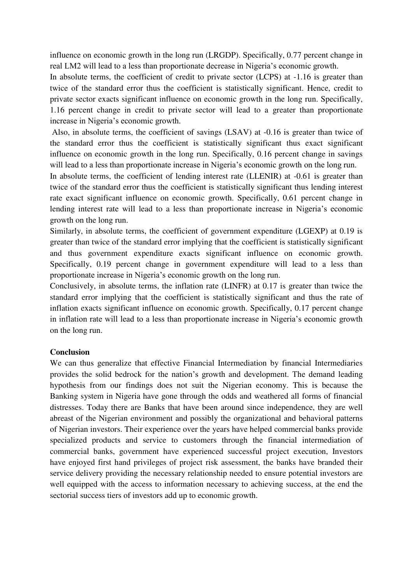influence on economic growth in the long run (LRGDP). Specifically, 0.77 percent change in real LM2 will lead to a less than proportionate decrease in Nigeria's economic growth.

In absolute terms, the coefficient of credit to private sector (LCPS) at  $-1.16$  is greater than twice of the standard error thus the coefficient is statistically significant. Hence, credit to private sector exacts significant influence on economic growth in the long run. Specifically, 1.16 percent change in credit to private sector will lead to a greater than proportionate increase in Nigeria's economic growth.

 Also, in absolute terms, the coefficient of savings (LSAV) at -0.16 is greater than twice of the standard error thus the coefficient is statistically significant thus exact significant influence on economic growth in the long run. Specifically, 0.16 percent change in savings will lead to a less than proportionate increase in Nigeria's economic growth on the long run.

In absolute terms, the coefficient of lending interest rate (LLENIR) at -0.61 is greater than twice of the standard error thus the coefficient is statistically significant thus lending interest rate exact significant influence on economic growth. Specifically, 0.61 percent change in lending interest rate will lead to a less than proportionate increase in Nigeria's economic growth on the long run.

Similarly, in absolute terms, the coefficient of government expenditure (LGEXP) at 0.19 is greater than twice of the standard error implying that the coefficient is statistically significant and thus government expenditure exacts significant influence on economic growth. Specifically, 0.19 percent change in government expenditure will lead to a less than proportionate increase in Nigeria's economic growth on the long run.

Conclusively, in absolute terms, the inflation rate (LINFR) at 0.17 is greater than twice the standard error implying that the coefficient is statistically significant and thus the rate of inflation exacts significant influence on economic growth. Specifically, 0.17 percent change in inflation rate will lead to a less than proportionate increase in Nigeria's economic growth on the long run.

## **Conclusion**

We can thus generalize that effective Financial Intermediation by financial Intermediaries provides the solid bedrock for the nation's growth and development. The demand leading hypothesis from our findings does not suit the Nigerian economy. This is because the Banking system in Nigeria have gone through the odds and weathered all forms of financial distresses. Today there are Banks that have been around since independence, they are well abreast of the Nigerian environment and possibly the organizational and behavioral patterns of Nigerian investors. Their experience over the years have helped commercial banks provide specialized products and service to customers through the financial intermediation of commercial banks, government have experienced successful project execution, Investors have enjoyed first hand privileges of project risk assessment, the banks have branded their service delivery providing the necessary relationship needed to ensure potential investors are well equipped with the access to information necessary to achieving success, at the end the sectorial success tiers of investors add up to economic growth.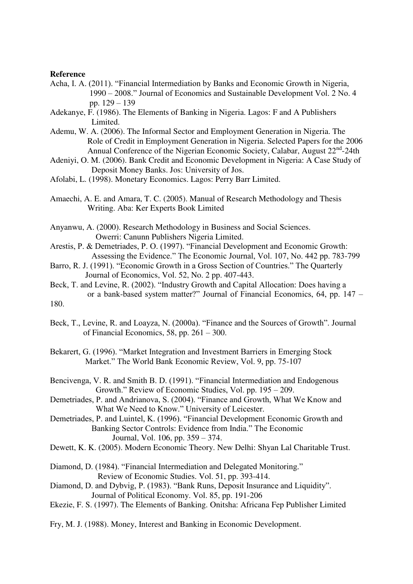#### **Reference**

- Acha, I. A. (2011). "Financial Intermediation by Banks and Economic Growth in Nigeria, 1990 – 2008." Journal of Economics and Sustainable Development Vol. 2 No. 4 pp. 129 – 139
- Adekanye, F. (1986). The Elements of Banking in Nigeria. Lagos: F and A Publishers Limited.
- Ademu, W. A. (2006). The Informal Sector and Employment Generation in Nigeria. The Role of Credit in Employment Generation in Nigeria. Selected Papers for the 2006 Annual Conference of the Nigerian Economic Society, Calabar, August 22<sup>nd</sup>-24th
- Adeniyi, O. M. (2006). Bank Credit and Economic Development in Nigeria: A Case Study of Deposit Money Banks. Jos: University of Jos.
- Afolabi, L. (1998). Monetary Economics. Lagos: Perry Barr Limited.
- Amaechi, A. E. and Amara, T. C. (2005). Manual of Research Methodology and Thesis Writing. Aba: Ker Experts Book Limited
- Anyanwu, A. (2000). Research Methodology in Business and Social Sciences. Owerri: Canunn Publishers Nigeria Limited.
- Arestis, P. & Demetriades, P. O. (1997). "Financial Development and Economic Growth: Assessing the Evidence." The Economic Journal, Vol. 107, No. 442 pp. 783-799
- Barro, R. J. (1991). "Economic Growth in a Gross Section of Countries." The Quarterly Journal of Economics, Vol. 52, No. 2 pp. 407-443.
- Beck, T. and Levine, R. (2002). "Industry Growth and Capital Allocation: Does having a or a bank-based system matter?" Journal of Financial Economics, 64, pp. 147 – 180.
- Beck, T., Levine, R. and Loayza, N. (2000a). "Finance and the Sources of Growth". Journal of Financial Economics, 58, pp. 261 – 300.
- Bekarert, G. (1996). "Market Integration and Investment Barriers in Emerging Stock Market." The World Bank Economic Review, Vol. 9, pp. 75-107
- Bencivenga, V. R. and Smith B. D. (1991). "Financial Intermediation and Endogenous Growth." Review of Economic Studies, Vol. pp. 195 – 209.
- Demetriades, P. and Andrianova, S. (2004). "Finance and Growth, What We Know and What We Need to Know." University of Leicester.
- Demetriades, P. and Luintel, K. (1996). "Financial Development Economic Growth and Banking Sector Controls: Evidence from India." The Economic Journal, Vol. 106, pp. 359 – 374.
- Dewett, K. K. (2005). Modern Economic Theory. New Delhi: Shyan Lal Charitable Trust.
- Diamond, D. (1984). "Financial Intermediation and Delegated Monitoring." Review of Economic Studies. Vol. 51, pp. 393-414.
- Diamond, D. and Dybvig, P. (1983). "Bank Runs, Deposit Insurance and Liquidity". Journal of Political Economy. Vol. 85, pp. 191-206
- Ekezie, F. S. (1997). The Elements of Banking. Onitsha: Africana Fep Publisher Limited
- Fry, M. J. (1988). Money, Interest and Banking in Economic Development.